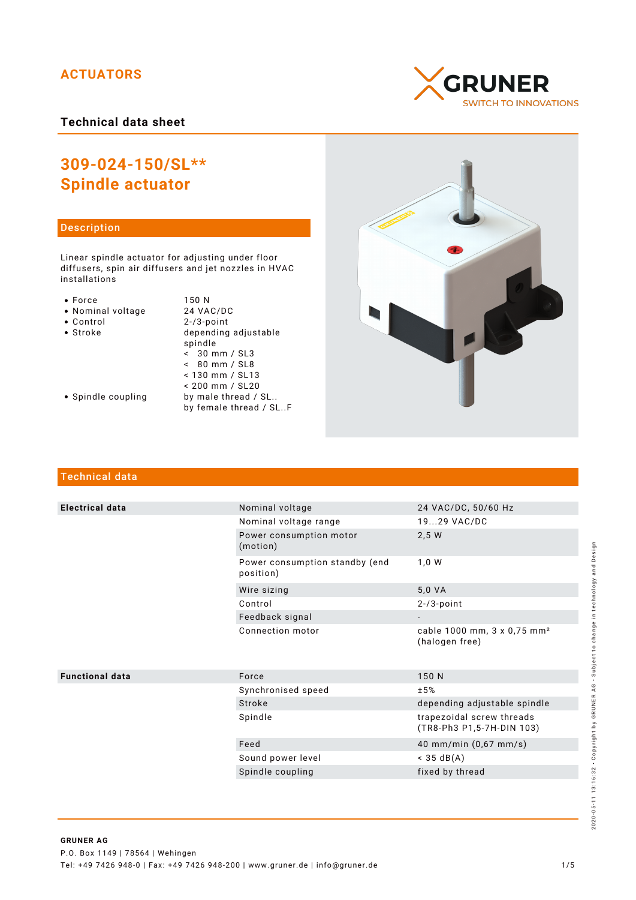# **ACTUATORS**

**Technical data sheet**

# **309-024-150/SL\*\* Spindle actuator**

## Description

Linear spindle actuator for adjusting under floor diffusers, spin air diffusers and jet nozzles in HVAC installations

- 
- Force 150 N<br>• Nominal voltage 24 VAC/DC • Nominal voltage<br>• Control
- 
- 

 $2 - / 3$ -point • Stroke depending adjustable spindle  $\frac{1}{5}$  30 mm / SL3 < 80 mm / SL8 < 130 mm / SL13 < 200 mm / SL20 • Spindle coupling by male thread / SL.. by female thread / SL..F

- 
- Technical data

| <b>Electrical data</b> | Nominal voltage                             | 24 VAC/DC, 50/60 Hz                                       |
|------------------------|---------------------------------------------|-----------------------------------------------------------|
|                        | Nominal voltage range                       | 1929 VAC/DC                                               |
|                        | Power consumption motor<br>(motion)         | 2,5 W                                                     |
|                        | Power consumption standby (end<br>position) | 1,0 W                                                     |
|                        | Wire sizing                                 | 5,0 VA                                                    |
|                        | Control                                     | $2-73$ -point                                             |
|                        | Feedback signal                             |                                                           |
|                        | Connection motor                            | cable 1000 mm, 3 x 0,75 mm <sup>2</sup><br>(halogen free) |
| <b>Functional data</b> | Force                                       | 150 N                                                     |
|                        | Synchronised speed                          | ±5%                                                       |
|                        | Stroke                                      | depending adjustable spindle                              |
|                        | Spindle                                     | trapezoidal screw threads<br>(TR8-Ph3 P1,5-7H-DIN 103)    |
|                        | Feed                                        | 40 mm/min (0,67 mm/s)                                     |
|                        | Sound power level                           | $<$ 35 dB(A)                                              |
|                        | Spindle coupling                            | fixed by thread                                           |
|                        |                                             |                                                           |





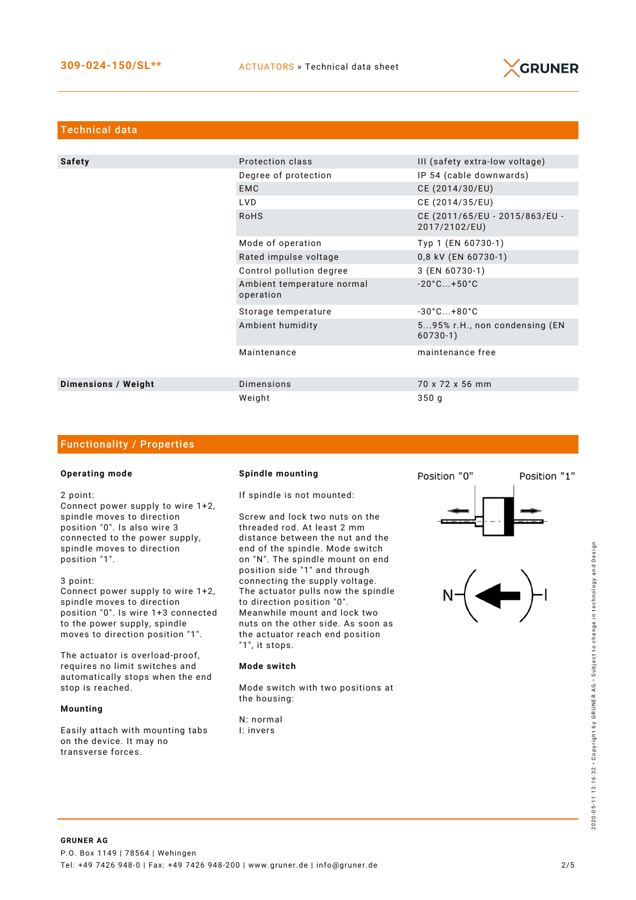

| <b>Technical data</b> |                                         |                                                 |  |  |  |
|-----------------------|-----------------------------------------|-------------------------------------------------|--|--|--|
|                       |                                         |                                                 |  |  |  |
| <b>Safety</b>         | Protection class                        | III (safety extra-low voltage)                  |  |  |  |
|                       | Degree of protection                    | IP 54 (cable downwards)                         |  |  |  |
|                       | <b>EMC</b>                              | CE (2014/30/EU)                                 |  |  |  |
|                       | LVD                                     | CE (2014/35/EU)                                 |  |  |  |
|                       | <b>RoHS</b>                             | CE (2011/65/EU - 2015/863/EU -<br>2017/2102/EU) |  |  |  |
|                       | Mode of operation                       | Typ 1 (EN 60730-1)                              |  |  |  |
|                       | Rated impulse voltage                   | 0,8 kV (EN 60730-1)                             |  |  |  |
|                       | Control pollution degree                | 3 (EN 60730-1)                                  |  |  |  |
|                       | Ambient temperature normal<br>operation | $-20^{\circ}$ C +50 $^{\circ}$ C                |  |  |  |
|                       | Storage temperature                     | $-30^{\circ}$ C $+80^{\circ}$ C                 |  |  |  |
|                       | Ambient humidity                        | 595% r.H., non condensing (EN<br>$60730-1)$     |  |  |  |
|                       | Maintenance                             | maintenance free                                |  |  |  |
| Dimensions / Weight   | <b>Dimensions</b>                       | 70 x 72 x 56 mm                                 |  |  |  |
|                       | Weight                                  | 350 <sub>q</sub>                                |  |  |  |

### Functionality / Properties

#### **Operating mode**

2 point:

Connect power supply to wire 1+2, spindle moves to direction position "0". Is also wire 3 connected to the power supply, spindle moves to direction position "1".

3 point:

Connect power supply to wire 1+2, spindle moves to direction position "0". Is wire 1+3 connected to the power supply, spindle moves to direction position "1".

The actuator is overload-proof, requires no limit switches and automatically stops when the end stop is reached.

#### **Mounting**

Easily attach with mounting tabs on the device. It may no transverse forces.

#### **Spindle mounting**

If spindle is not mounted:

Screw and lock two nuts on the threaded rod. At least 2 mm distance between the nut and the end of the spindle. Mode switch on "N". The spindle mount on end position side "1" and through connecting the supply voltage. The actuator pulls now the spindle to direction position "0". Meanwhile mount and lock two nuts on the other side. As soon as the actuator reach end position "1", it stops.

#### **Mode switch**

Mode switch with two positions at the housing:

N: normal I: invers



Position "1"

Position "0"

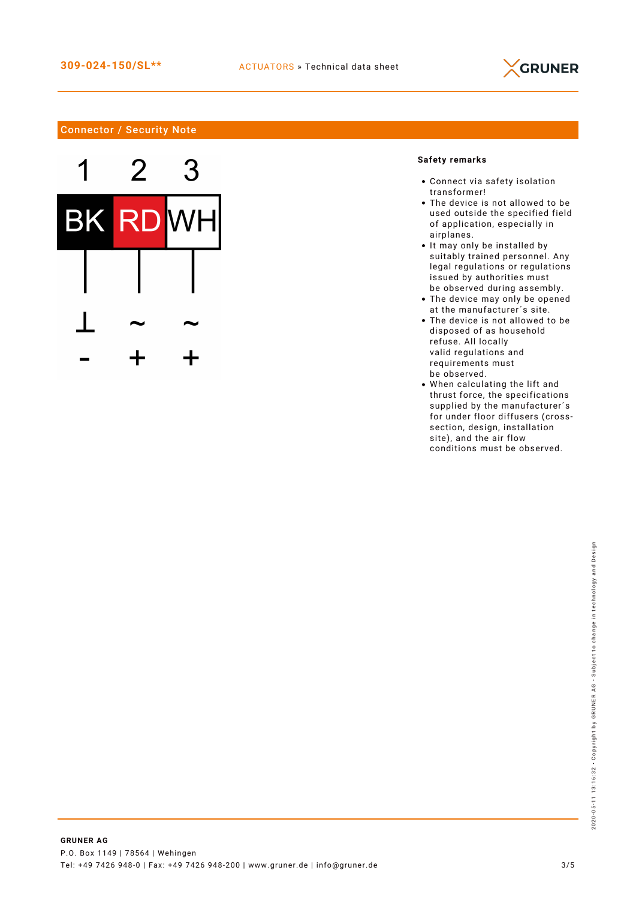

# Connector / Security Note



# **Safety remarks**

- Connect via safety isolation transformer!
- The device is not allowed to be used outside the specified field of application, especially in airplanes.
- It may only be installed by suitably trained personnel. Any legal regulations or regulations issued by authorities must be observed during assembly.
- The device may only be opened at the manufacturer´s site.
- The device is not allowed to be disposed of as household refuse. All locally valid regulations and requirements must be observed.
- When calculating the lift and thrust force, the specifications supplied by the manufacturer's for under floor diffusers (crosssection, design, installation site), and the air flow conditions must be observed.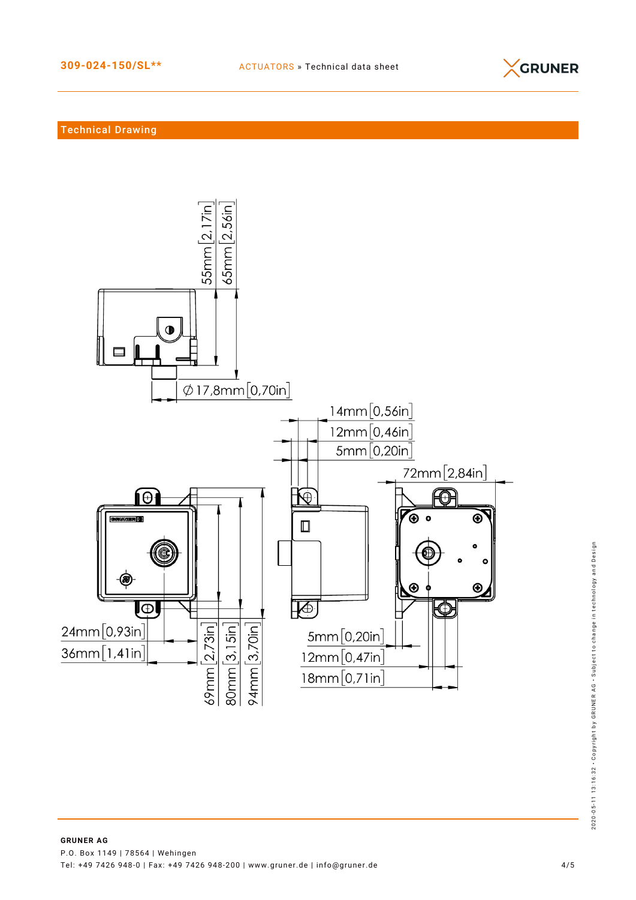

## Technical Drawing